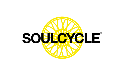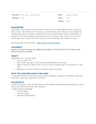|                     | <b>PROJECT:</b> Soul Cycle $-\omega$ Home Bike |                     | <b>DATE:</b> March 26, 2020 |
|---------------------|------------------------------------------------|---------------------|-----------------------------|
| <b>CONTACT: TBD</b> |                                                | JOB #: N/A          |                             |
|                     |                                                | <b>TIMING: ASAP</b> |                             |

#### **BACKGROUND**

SoulCycle is the pioneer of spin classes. They have a huge following and a loyal fan base in the cities they serve. However, at-home bikes, like Peloton, have started to slowly take over the market. SoulCycle will be releasing their own at home bike to compete with this market and keep their loyal fan base. They want to own the athome spin class market the same way they've owned the spin studio for years.

SoulCycle bike for the home - https://soul-cycle.com/at-home

#### **ASSIGNMENT**

**Create a brand strategy and digital campaign for SoulCycle's new at-home spin bikes and online classes.** 

#### **TARGET**

Millennials (25 – 40 year olds)

- Live on their own
- Have their own apt or just have purchased their first house
- Want to feel like there still in the city even though they're not always "in the city."
- Regularly on social media to research large purchases

#### **WHAT THE CONSUMER SHOULD TAKE AWAY**

*"I can get the best online spin classes from SoulCyle, because I'm getting a/the real SoulCycle class and experience at home"*

#### **DELIVERABLES**

• Brand Strategy – how can SoulCycle at home bikes differentiate themselves in the at home spin bike and online class market?

• Digital Brand Campaign

- Online Video
- Social Content
- Influencer Marketing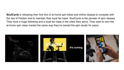**SoulCycle** is releasing their first line of at-home spin bikes and online classes to compete with the rise of Peloton and to maintain their loyal fan base. SoulCycle is the pioneer of spin classes. They have a huge following and a loyal fan base in the cities they serve. They want to own the at-home spin class market the same way they've owned the spin studio for years.

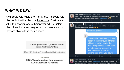# **WHAT WE SAW**

Avid SoulCycle riders aren't only loyal to SoulCycle classes but to their favorite instructors. Customers will often accommodate their preferred instructors' class times into their busy schedules to ensure that they are able to take their classes.

> A SoulCycle Fanatic's Q&A with Master **Instructor Stacey Griffith**

Meet 5 Of SoulCycle's Most Popular NYC Instructors

#### **EGGS WELLNESS**

**SOUL Transformation: How Instructor LOVE Lost Over 70 Pounds** 

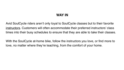# **WAY IN**

Avid SoulCycle riders aren't only loyal to SoulCycle classes but to their favorite instructors. Customers will often accommodate their preferred instructors' class times into their busy schedules to ensure that they are able to take their classes.

With the SoulCycle at-home bike, follow the instructors you love, or find more to love, no matter where they're teaching, from the comfort of your home.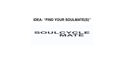# **IDEA: "FIND YOUR SOULMATE(S)"**

#### **SOULCYCLE** MATE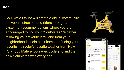#### **IDEA**

SoulCycle Online will create a digital community between instructors and riders through a system of recommendations where you are encouraged to find your "SoulMates." Whether following your favorite instructor from your neighborhood studio back home, or finding your favorite instructor's favorite teacher from New York, SoulMate encourages cyclers to find their new SoulMates with every ride.



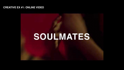#### **CREATIVE EX [#1: ONLINE VIDEO](http://www.youtube.com/watch?v=tEAUz5fN2pc)**

# **SOULMATES**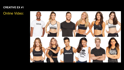Online Video:

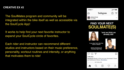The SoulMates program and community will be integrated within the bike itself as well as accessible via the SoulCycle App!

It works to help find your next favorite instructor to expand your SoulCycle circle of favorites.

Each rider and instructor can recommend different studios and instructors based on their music preference, personality, workout routines and intensity, or anything that motivates them to ride!



# **FIND YOUR NEXT SOULMATE(S)**



\*and we think we already did!

if you liked Tori's Hip-Hop **Class in Boston** 



Check out Evan's LA **Thursday Night Ride** 





1.984 likes

SoulCycle Ready to find your new Soulmates? Check out SoulCycle at Home. #SoulMates

**INNUITES AGO - SEE TRANSLATION** 

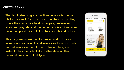The SoulMates program functions as a social media platform as well. Each instructor has their own profile, where they can share healthy recipes, post-workout stretches, playlists, and their other hobbies. Consumers have the opportunity to follow their favorite instructors.

This program is designed to position instructors as influencers promoting brand love as well as community and self-empowerment through fitness. Here, each instructor has the potential to further develop their personal brand with SoulCycle.

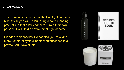To accompany the launch of the SoulCycle at-home bike, SoulCycle will be launching a corresponding product line that allows riders to curate their own personal Soul Studio environment right at home.

Branded merchandise like candles, journals, and more transform cyclers' home workout space to a private SoulCycle studio!





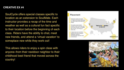SoulCycle offers special classes specific to location as an extension to SoulMate. Each instructor provides a recap of the time and weather as well as a cultural fun fact specific to their location before the beginning of each class. Riders have the ability to chat, meet new friends, and attend a 'virtual vacation' to someplace new while they work out!

This allows riders to enjoy a spin class with anyone–from their nextdoor neighbor to their childhood best friend that moved across the country!